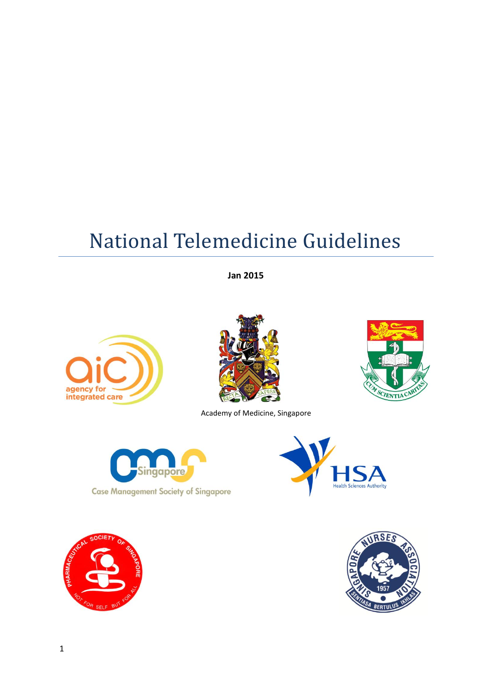# National Telemedicine Guidelines

**Jan 2015**





Academy of Medicine, Singapore







**SCIENTIAC** 

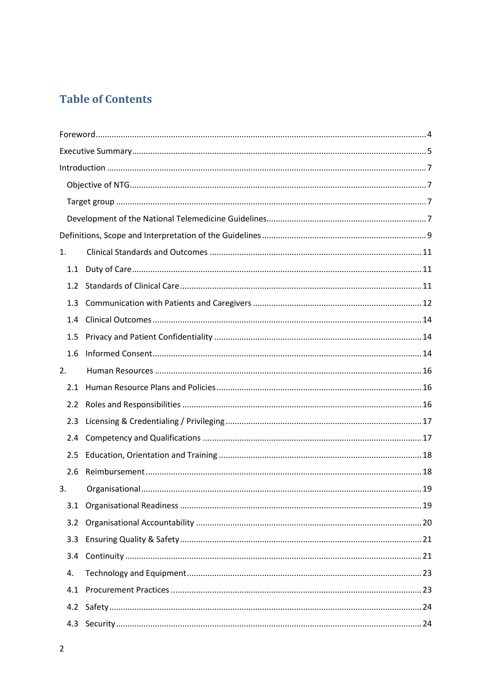# **Table of Contents**

| 1.               |  |
|------------------|--|
| 1.1              |  |
| 1.2              |  |
| 1.3              |  |
| 1.4              |  |
| 1.5              |  |
| 1.6              |  |
| 2.               |  |
| 2.1              |  |
| 2.2              |  |
| 2.3              |  |
| 2.4              |  |
| 2.5              |  |
| 2.6              |  |
| 3.               |  |
|                  |  |
| 3.2              |  |
| 3.3 <sub>2</sub> |  |
| $3.4^{\circ}$    |  |
| 4.               |  |
| 4.1              |  |
| 4.2              |  |
| 4.3              |  |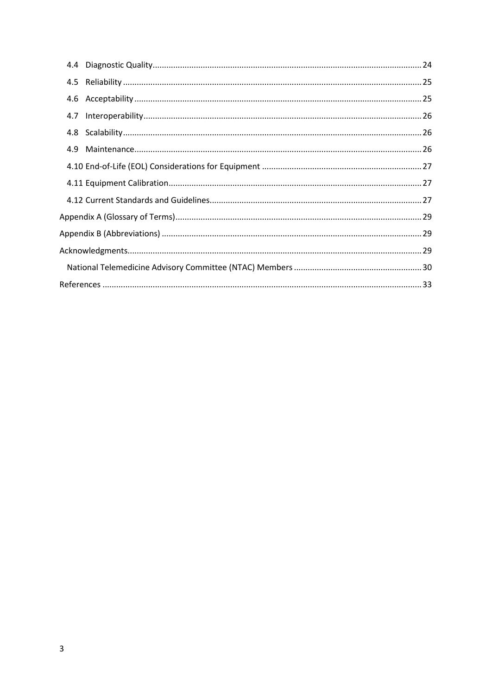| 4.9 |  |
|-----|--|
|     |  |
|     |  |
|     |  |
|     |  |
|     |  |
|     |  |
|     |  |
|     |  |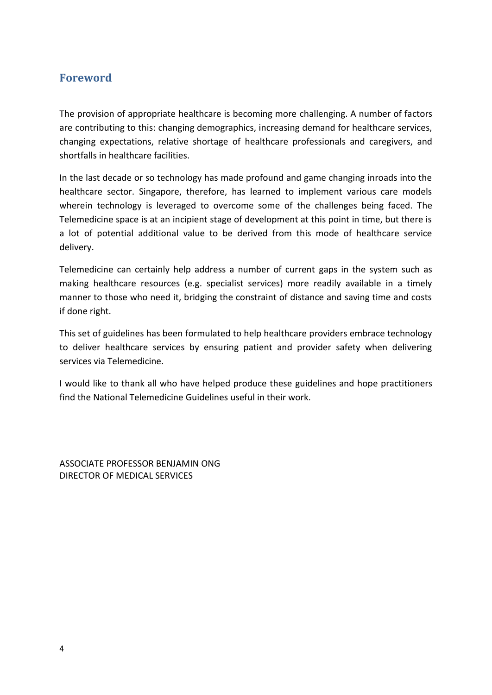## <span id="page-3-0"></span>**Foreword**

The provision of appropriate healthcare is becoming more challenging. A number of factors are contributing to this: changing demographics, increasing demand for healthcare services, changing expectations, relative shortage of healthcare professionals and caregivers, and shortfalls in healthcare facilities.

In the last decade or so technology has made profound and game changing inroads into the healthcare sector. Singapore, therefore, has learned to implement various care models wherein technology is leveraged to overcome some of the challenges being faced. The Telemedicine space is at an incipient stage of development at this point in time, but there is a lot of potential additional value to be derived from this mode of healthcare service delivery.

Telemedicine can certainly help address a number of current gaps in the system such as making healthcare resources (e.g. specialist services) more readily available in a timely manner to those who need it, bridging the constraint of distance and saving time and costs if done right.

This set of guidelines has been formulated to help healthcare providers embrace technology to deliver healthcare services by ensuring patient and provider safety when delivering services via Telemedicine.

I would like to thank all who have helped produce these guidelines and hope practitioners find the National Telemedicine Guidelines useful in their work.

ASSOCIATE PROFESSOR BENJAMIN ONG DIRECTOR OF MEDICAL SERVICES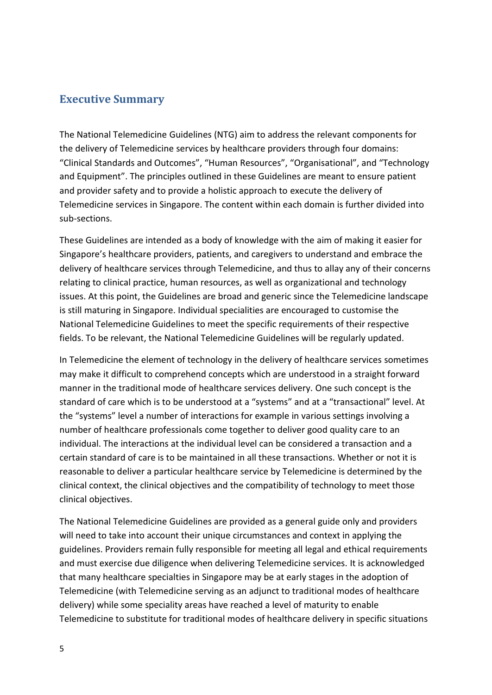## <span id="page-4-0"></span>**Executive Summary**

The National Telemedicine Guidelines (NTG) aim to address the relevant components for the delivery of Telemedicine services by healthcare providers through four domains: "Clinical Standards and Outcomes", "Human Resources", "Organisational", and "Technology and Equipment". The principles outlined in these Guidelines are meant to ensure patient and provider safety and to provide a holistic approach to execute the delivery of Telemedicine services in Singapore. The content within each domain is further divided into sub-sections.

These Guidelines are intended as a body of knowledge with the aim of making it easier for Singapore's healthcare providers, patients, and caregivers to understand and embrace the delivery of healthcare services through Telemedicine, and thus to allay any of their concerns relating to clinical practice, human resources, as well as organizational and technology issues. At this point, the Guidelines are broad and generic since the Telemedicine landscape is still maturing in Singapore. Individual specialities are encouraged to customise the National Telemedicine Guidelines to meet the specific requirements of their respective fields. To be relevant, the National Telemedicine Guidelines will be regularly updated.

In Telemedicine the element of technology in the delivery of healthcare services sometimes may make it difficult to comprehend concepts which are understood in a straight forward manner in the traditional mode of healthcare services delivery. One such concept is the standard of care which is to be understood at a "systems" and at a "transactional" level. At the "systems" level a number of interactions for example in various settings involving a number of healthcare professionals come together to deliver good quality care to an individual. The interactions at the individual level can be considered a transaction and a certain standard of care is to be maintained in all these transactions. Whether or not it is reasonable to deliver a particular healthcare service by Telemedicine is determined by the clinical context, the clinical objectives and the compatibility of technology to meet those clinical objectives.

The National Telemedicine Guidelines are provided as a general guide only and providers will need to take into account their unique circumstances and context in applying the guidelines. Providers remain fully responsible for meeting all legal and ethical requirements and must exercise due diligence when delivering Telemedicine services. It is acknowledged that many healthcare specialties in Singapore may be at early stages in the adoption of Telemedicine (with Telemedicine serving as an adjunct to traditional modes of healthcare delivery) while some speciality areas have reached a level of maturity to enable Telemedicine to substitute for traditional modes of healthcare delivery in specific situations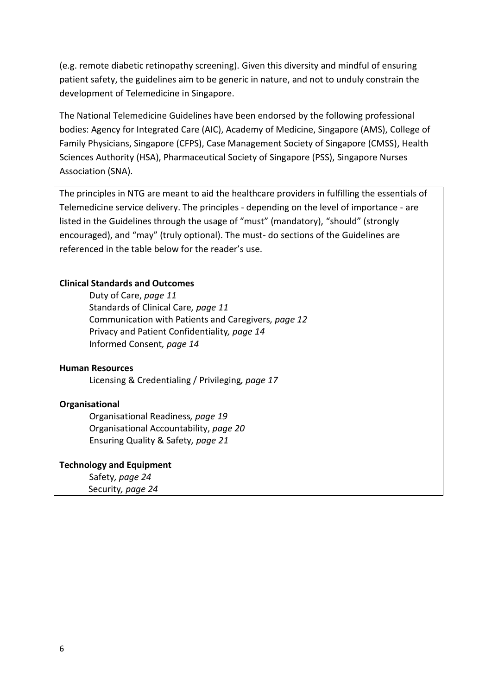(e.g. remote diabetic retinopathy screening). Given this diversity and mindful of ensuring patient safety, the guidelines aim to be generic in nature, and not to unduly constrain the development of Telemedicine in Singapore.

The National Telemedicine Guidelines have been endorsed by the following professional bodies: Agency for Integrated Care (AIC), Academy of Medicine, Singapore (AMS), College of Family Physicians, Singapore (CFPS), Case Management Society of Singapore (CMSS), Health Sciences Authority (HSA), Pharmaceutical Society of Singapore (PSS), Singapore Nurses Association (SNA).

The principles in NTG are meant to aid the healthcare providers in fulfilling the essentials of Telemedicine service delivery. The principles - depending on the level of importance - are listed in the Guidelines through the usage of "must" (mandatory), "should" (strongly encouraged), and "may" (truly optional). The must- do sections of the Guidelines are referenced in the table below for the reader's use.

#### **Clinical Standards and Outcomes**

Duty of Care, *page 11* Standards of Clinical Care*, page 11* Communication with Patients and Caregivers*, page 12* Privacy and Patient Confidentiality*, page 14* Informed Consent*, page 14*

#### **Human Resources**

Licensing & Credentialing / Privileging*, page 17*

#### **Organisational**

Organisational Readiness*, page 19* Organisational Accountability, *page 20*  Ensuring Quality & Safety*, page 21*

#### **Technology and Equipment**

Safety*, page 24* Security*, page 24*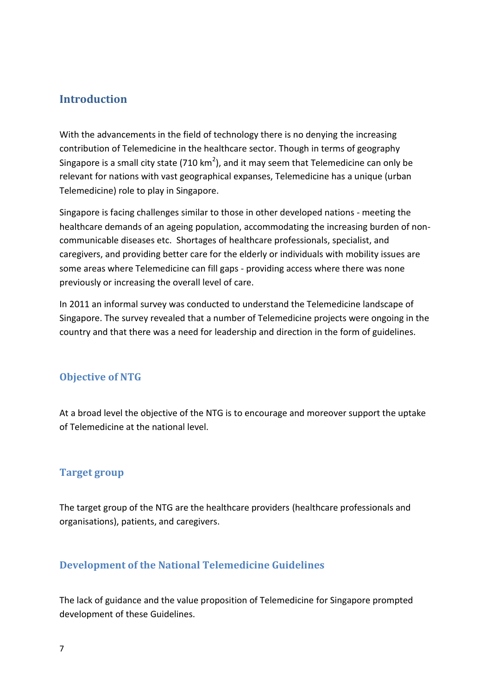## <span id="page-6-0"></span>**Introduction**

With the advancements in the field of technology there is no denying the increasing contribution of Telemedicine in the healthcare sector. Though in terms of geography Singapore is a small city state (710 km<sup>2</sup>), and it may seem that Telemedicine can only be relevant for nations with vast geographical expanses, Telemedicine has a unique (urban Telemedicine) role to play in Singapore.

Singapore is facing challenges similar to those in other developed nations - meeting the healthcare demands of an ageing population, accommodating the increasing burden of noncommunicable diseases etc. Shortages of healthcare professionals, specialist, and caregivers, and providing better care for the elderly or individuals with mobility issues are some areas where Telemedicine can fill gaps - providing access where there was none previously or increasing the overall level of care.

In 2011 an informal survey was conducted to understand the Telemedicine landscape of Singapore. The survey revealed that a number of Telemedicine projects were ongoing in the country and that there was a need for leadership and direction in the form of guidelines.

## <span id="page-6-1"></span>**Objective of NTG**

At a broad level the objective of the NTG is to encourage and moreover support the uptake of Telemedicine at the national level.

## <span id="page-6-2"></span>**Target group**

The target group of the NTG are the healthcare providers (healthcare professionals and organisations), patients, and caregivers.

## <span id="page-6-3"></span>**Development of the National Telemedicine Guidelines**

The lack of guidance and the value proposition of Telemedicine for Singapore prompted development of these Guidelines.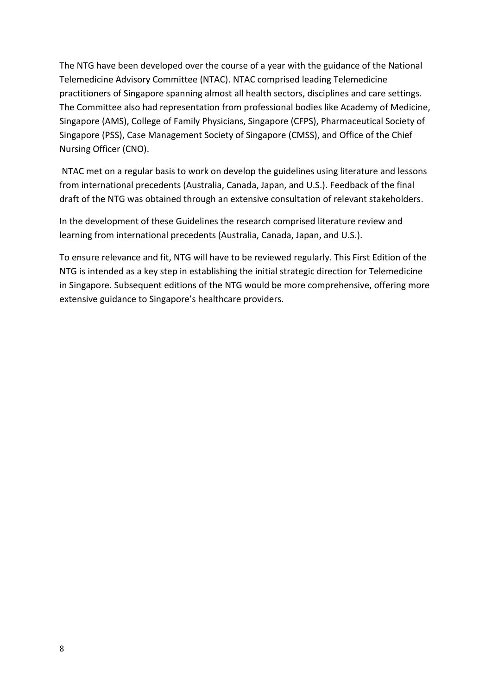The NTG have been developed over the course of a year with the guidance of the National Telemedicine Advisory Committee (NTAC). NTAC comprised leading Telemedicine practitioners of Singapore spanning almost all health sectors, disciplines and care settings. The Committee also had representation from professional bodies like Academy of Medicine, Singapore (AMS), College of Family Physicians, Singapore (CFPS), Pharmaceutical Society of Singapore (PSS), Case Management Society of Singapore (CMSS), and Office of the Chief Nursing Officer (CNO).

NTAC met on a regular basis to work on develop the guidelines using literature and lessons from international precedents (Australia, Canada, Japan, and U.S.). Feedback of the final draft of the NTG was obtained through an extensive consultation of relevant stakeholders.

In the development of these Guidelines the research comprised literature review and learning from international precedents (Australia, Canada, Japan, and U.S.).

To ensure relevance and fit, NTG will have to be reviewed regularly. This First Edition of the NTG is intended as a key step in establishing the initial strategic direction for Telemedicine in Singapore. Subsequent editions of the NTG would be more comprehensive, offering more extensive guidance to Singapore's healthcare providers.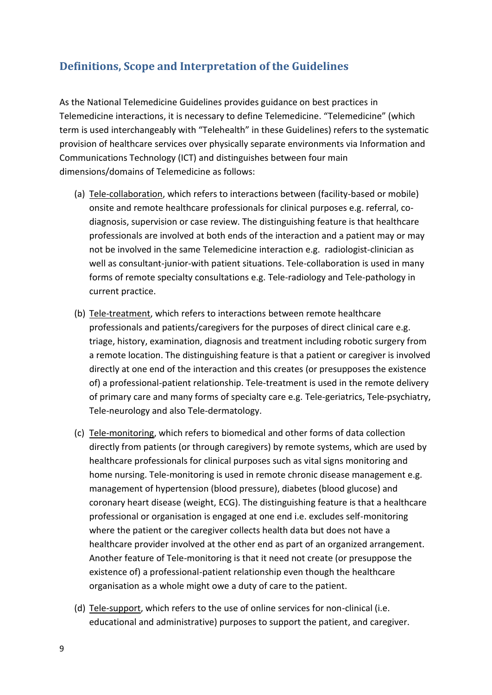# <span id="page-8-0"></span>**Definitions, Scope and Interpretation of the Guidelines**

As the National Telemedicine Guidelines provides guidance on best practices in Telemedicine interactions, it is necessary to define Telemedicine. "Telemedicine" (which term is used interchangeably with "Telehealth" in these Guidelines) refers to the systematic provision of healthcare services over physically separate environments via Information and Communications Technology (ICT) and distinguishes between four main dimensions/domains of Telemedicine as follows:

- (a) Tele-collaboration, which refers to interactions between (facility-based or mobile) onsite and remote healthcare professionals for clinical purposes e.g. referral, codiagnosis, supervision or case review. The distinguishing feature is that healthcare professionals are involved at both ends of the interaction and a patient may or may not be involved in the same Telemedicine interaction e.g. radiologist-clinician as well as consultant-junior-with patient situations. Tele-collaboration is used in many forms of remote specialty consultations e.g. Tele-radiology and Tele-pathology in current practice.
- (b) Tele-treatment, which refers to interactions between remote healthcare professionals and patients/caregivers for the purposes of direct clinical care e.g. triage, history, examination, diagnosis and treatment including robotic surgery from a remote location. The distinguishing feature is that a patient or caregiver is involved directly at one end of the interaction and this creates (or presupposes the existence of) a professional-patient relationship. Tele-treatment is used in the remote delivery of primary care and many forms of specialty care e.g. Tele-geriatrics, Tele-psychiatry, Tele-neurology and also Tele-dermatology.
- (c) Tele-monitoring, which refers to biomedical and other forms of data collection directly from patients (or through caregivers) by remote systems, which are used by healthcare professionals for clinical purposes such as vital signs monitoring and home nursing. Tele-monitoring is used in remote chronic disease management e.g. management of hypertension (blood pressure), diabetes (blood glucose) and coronary heart disease (weight, ECG). The distinguishing feature is that a healthcare professional or organisation is engaged at one end i.e. excludes self-monitoring where the patient or the caregiver collects health data but does not have a healthcare provider involved at the other end as part of an organized arrangement. Another feature of Tele-monitoring is that it need not create (or presuppose the existence of) a professional-patient relationship even though the healthcare organisation as a whole might owe a duty of care to the patient.
- (d) Tele-support, which refers to the use of online services for non-clinical (i.e. educational and administrative) purposes to support the patient, and caregiver.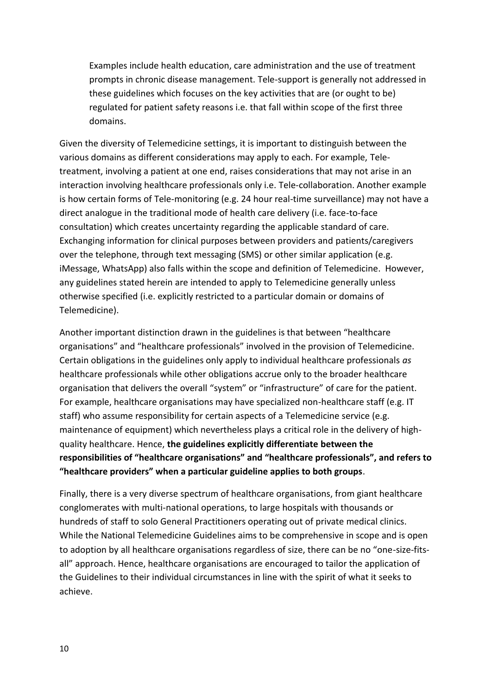Examples include health education, care administration and the use of treatment prompts in chronic disease management. Tele-support is generally not addressed in these guidelines which focuses on the key activities that are (or ought to be) regulated for patient safety reasons i.e. that fall within scope of the first three domains.

Given the diversity of Telemedicine settings, it is important to distinguish between the various domains as different considerations may apply to each. For example, Teletreatment, involving a patient at one end, raises considerations that may not arise in an interaction involving healthcare professionals only i.e. Tele-collaboration. Another example is how certain forms of Tele-monitoring (e.g. 24 hour real-time surveillance) may not have a direct analogue in the traditional mode of health care delivery (i.e. face-to-face consultation) which creates uncertainty regarding the applicable standard of care. Exchanging information for clinical purposes between providers and patients/caregivers over the telephone, through text messaging (SMS) or other similar application (e.g. iMessage, WhatsApp) also falls within the scope and definition of Telemedicine. However, any guidelines stated herein are intended to apply to Telemedicine generally unless otherwise specified (i.e. explicitly restricted to a particular domain or domains of Telemedicine).

Another important distinction drawn in the guidelines is that between "healthcare organisations" and "healthcare professionals" involved in the provision of Telemedicine. Certain obligations in the guidelines only apply to individual healthcare professionals *as* healthcare professionals while other obligations accrue only to the broader healthcare organisation that delivers the overall "system" or "infrastructure" of care for the patient. For example, healthcare organisations may have specialized non-healthcare staff (e.g. IT staff) who assume responsibility for certain aspects of a Telemedicine service (e.g. maintenance of equipment) which nevertheless plays a critical role in the delivery of highquality healthcare. Hence, **the guidelines explicitly differentiate between the responsibilities of "healthcare organisations" and "healthcare professionals", and refers to "healthcare providers" when a particular guideline applies to both groups**.

Finally, there is a very diverse spectrum of healthcare organisations, from giant healthcare conglomerates with multi-national operations, to large hospitals with thousands or hundreds of staff to solo General Practitioners operating out of private medical clinics. While the National Telemedicine Guidelines aims to be comprehensive in scope and is open to adoption by all healthcare organisations regardless of size, there can be no "one-size-fitsall" approach. Hence, healthcare organisations are encouraged to tailor the application of the Guidelines to their individual circumstances in line with the spirit of what it seeks to achieve.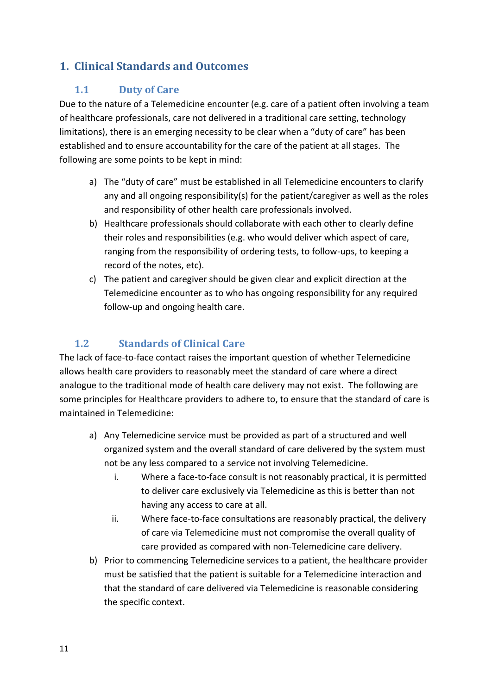# <span id="page-10-1"></span><span id="page-10-0"></span>**1. Clinical Standards and Outcomes**

## **1.1 Duty of Care**

Due to the nature of a Telemedicine encounter (e.g. care of a patient often involving a team of healthcare professionals, care not delivered in a traditional care setting, technology limitations), there is an emerging necessity to be clear when a "duty of care" has been established and to ensure accountability for the care of the patient at all stages. The following are some points to be kept in mind:

- a) The "duty of care" must be established in all Telemedicine encounters to clarify any and all ongoing responsibility(s) for the patient/caregiver as well as the roles and responsibility of other health care professionals involved.
- b) Healthcare professionals should collaborate with each other to clearly define their roles and responsibilities (e.g. who would deliver which aspect of care, ranging from the responsibility of ordering tests, to follow-ups, to keeping a record of the notes, etc).
- c) The patient and caregiver should be given clear and explicit direction at the Telemedicine encounter as to who has ongoing responsibility for any required follow-up and ongoing health care.

# **1.2 Standards of Clinical Care**

<span id="page-10-2"></span>The lack of face-to-face contact raises the important question of whether Telemedicine allows health care providers to reasonably meet the standard of care where a direct analogue to the traditional mode of health care delivery may not exist. The following are some principles for Healthcare providers to adhere to, to ensure that the standard of care is maintained in Telemedicine:

- a) Any Telemedicine service must be provided as part of a structured and well organized system and the overall standard of care delivered by the system must not be any less compared to a service not involving Telemedicine.
	- i. Where a face-to-face consult is not reasonably practical, it is permitted to deliver care exclusively via Telemedicine as this is better than not having any access to care at all.
	- ii. Where face-to-face consultations are reasonably practical, the delivery of care via Telemedicine must not compromise the overall quality of care provided as compared with non-Telemedicine care delivery.
- b) Prior to commencing Telemedicine services to a patient, the healthcare provider must be satisfied that the patient is suitable for a Telemedicine interaction and that the standard of care delivered via Telemedicine is reasonable considering the specific context.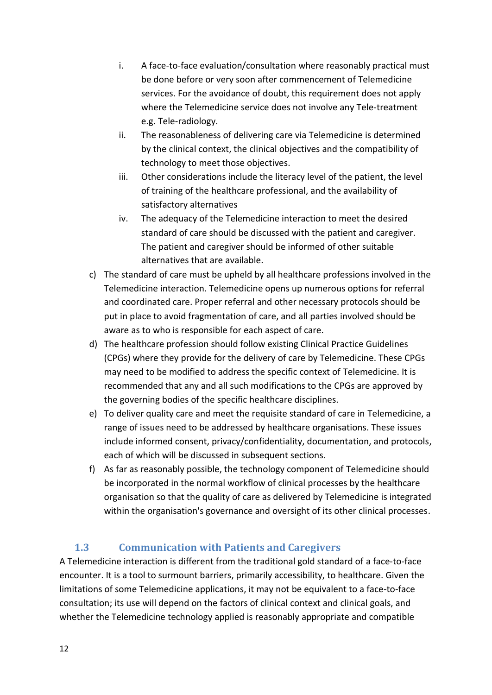- i. A face-to-face evaluation/consultation where reasonably practical must be done before or very soon after commencement of Telemedicine services. For the avoidance of doubt, this requirement does not apply where the Telemedicine service does not involve any Tele-treatment e.g. Tele-radiology.
- ii. The reasonableness of delivering care via Telemedicine is determined by the clinical context, the clinical objectives and the compatibility of technology to meet those objectives.
- iii. Other considerations include the literacy level of the patient, the level of training of the healthcare professional, and the availability of satisfactory alternatives
- iv. The adequacy of the Telemedicine interaction to meet the desired standard of care should be discussed with the patient and caregiver. The patient and caregiver should be informed of other suitable alternatives that are available.
- c) The standard of care must be upheld by all healthcare professions involved in the Telemedicine interaction. Telemedicine opens up numerous options for referral and coordinated care. Proper referral and other necessary protocols should be put in place to avoid fragmentation of care, and all parties involved should be aware as to who is responsible for each aspect of care.
- d) The healthcare profession should follow existing Clinical Practice Guidelines (CPGs) where they provide for the delivery of care by Telemedicine. These CPGs may need to be modified to address the specific context of Telemedicine. It is recommended that any and all such modifications to the CPGs are approved by the governing bodies of the specific healthcare disciplines.
- e) To deliver quality care and meet the requisite standard of care in Telemedicine, a range of issues need to be addressed by healthcare organisations. These issues include informed consent, privacy/confidentiality, documentation, and protocols, each of which will be discussed in subsequent sections.
- f) As far as reasonably possible, the technology component of Telemedicine should be incorporated in the normal workflow of clinical processes by the healthcare organisation so that the quality of care as delivered by Telemedicine is integrated within the organisation's governance and oversight of its other clinical processes.

# **1.3 Communication with Patients and Caregivers**

<span id="page-11-0"></span>A Telemedicine interaction is different from the traditional gold standard of a face-to-face encounter. It is a tool to surmount barriers, primarily accessibility, to healthcare. Given the limitations of some Telemedicine applications, it may not be equivalent to a face-to-face consultation; its use will depend on the factors of clinical context and clinical goals, and whether the Telemedicine technology applied is reasonably appropriate and compatible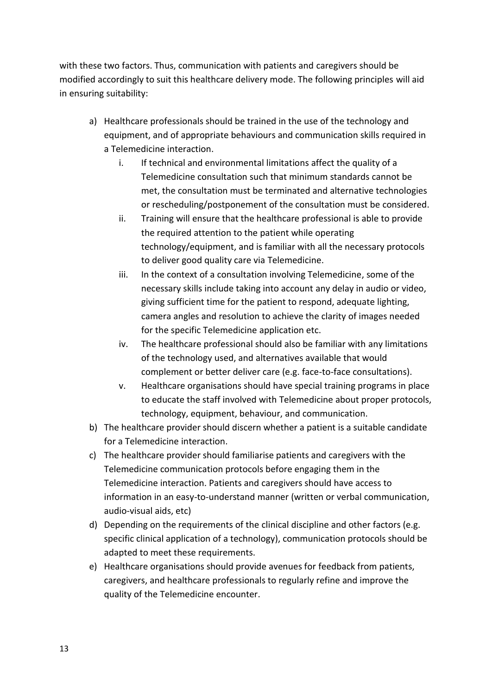with these two factors. Thus, communication with patients and caregivers should be modified accordingly to suit this healthcare delivery mode. The following principles will aid in ensuring suitability:

- a) Healthcare professionals should be trained in the use of the technology and equipment, and of appropriate behaviours and communication skills required in a Telemedicine interaction.
	- i. If technical and environmental limitations affect the quality of a Telemedicine consultation such that minimum standards cannot be met, the consultation must be terminated and alternative technologies or rescheduling/postponement of the consultation must be considered.
	- ii. Training will ensure that the healthcare professional is able to provide the required attention to the patient while operating technology/equipment, and is familiar with all the necessary protocols to deliver good quality care via Telemedicine.
	- iii. In the context of a consultation involving Telemedicine, some of the necessary skills include taking into account any delay in audio or video, giving sufficient time for the patient to respond, adequate lighting, camera angles and resolution to achieve the clarity of images needed for the specific Telemedicine application etc.
	- iv. The healthcare professional should also be familiar with any limitations of the technology used, and alternatives available that would complement or better deliver care (e.g. face-to-face consultations).
	- v. Healthcare organisations should have special training programs in place to educate the staff involved with Telemedicine about proper protocols, technology, equipment, behaviour, and communication.
- b) The healthcare provider should discern whether a patient is a suitable candidate for a Telemedicine interaction.
- c) The healthcare provider should familiarise patients and caregivers with the Telemedicine communication protocols before engaging them in the Telemedicine interaction. Patients and caregivers should have access to information in an easy-to-understand manner (written or verbal communication, audio-visual aids, etc)
- d) Depending on the requirements of the clinical discipline and other factors (e.g. specific clinical application of a technology), communication protocols should be adapted to meet these requirements.
- e) Healthcare organisations should provide avenues for feedback from patients, caregivers, and healthcare professionals to regularly refine and improve the quality of the Telemedicine encounter.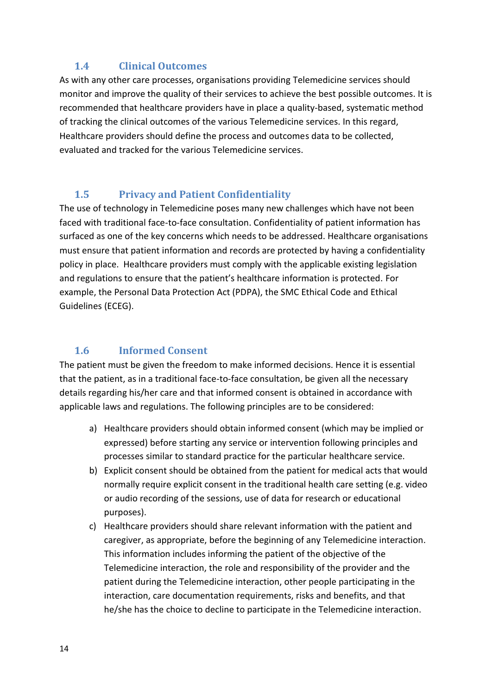## <span id="page-13-0"></span>**1.4 Clinical Outcomes**

As with any other care processes, organisations providing Telemedicine services should monitor and improve the quality of their services to achieve the best possible outcomes. It is recommended that healthcare providers have in place a quality-based, systematic method of tracking the clinical outcomes of the various Telemedicine services. In this regard, Healthcare providers should define the process and outcomes data to be collected, evaluated and tracked for the various Telemedicine services.

## <span id="page-13-1"></span>**1.5 Privacy and Patient Confidentiality**

The use of technology in Telemedicine poses many new challenges which have not been faced with traditional face-to-face consultation. Confidentiality of patient information has surfaced as one of the key concerns which needs to be addressed. Healthcare organisations must ensure that patient information and records are protected by having a confidentiality policy in place. Healthcare providers must comply with the applicable existing legislation and regulations to ensure that the patient's healthcare information is protected. For example, the Personal Data Protection Act (PDPA), the SMC Ethical Code and Ethical Guidelines (ECEG).

## <span id="page-13-2"></span>**1.6 Informed Consent**

The patient must be given the freedom to make informed decisions. Hence it is essential that the patient, as in a traditional face-to-face consultation, be given all the necessary details regarding his/her care and that informed consent is obtained in accordance with applicable laws and regulations. The following principles are to be considered:

- a) Healthcare providers should obtain informed consent (which may be implied or expressed) before starting any service or intervention following principles and processes similar to standard practice for the particular healthcare service.
- b) Explicit consent should be obtained from the patient for medical acts that would normally require explicit consent in the traditional health care setting (e.g. video or audio recording of the sessions, use of data for research or educational purposes).
- c) Healthcare providers should share relevant information with the patient and caregiver, as appropriate, before the beginning of any Telemedicine interaction. This information includes informing the patient of the objective of the Telemedicine interaction, the role and responsibility of the provider and the patient during the Telemedicine interaction, other people participating in the interaction, care documentation requirements, risks and benefits, and that he/she has the choice to decline to participate in the Telemedicine interaction.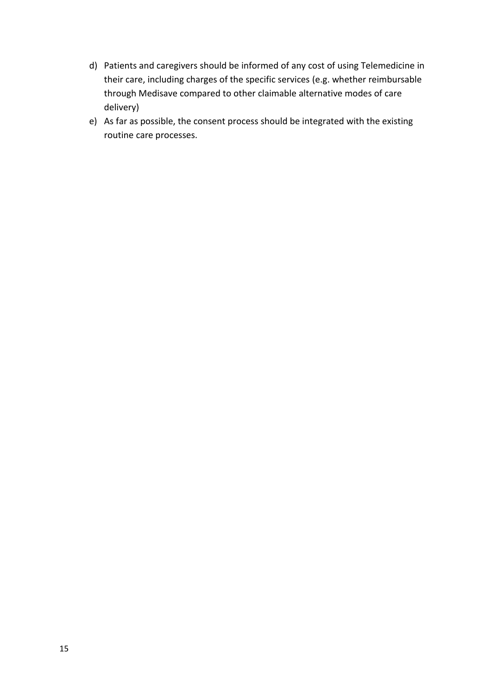- d) Patients and caregivers should be informed of any cost of using Telemedicine in their care, including charges of the specific services (e.g. whether reimbursable through Medisave compared to other claimable alternative modes of care delivery)
- e) As far as possible, the consent process should be integrated with the existing routine care processes.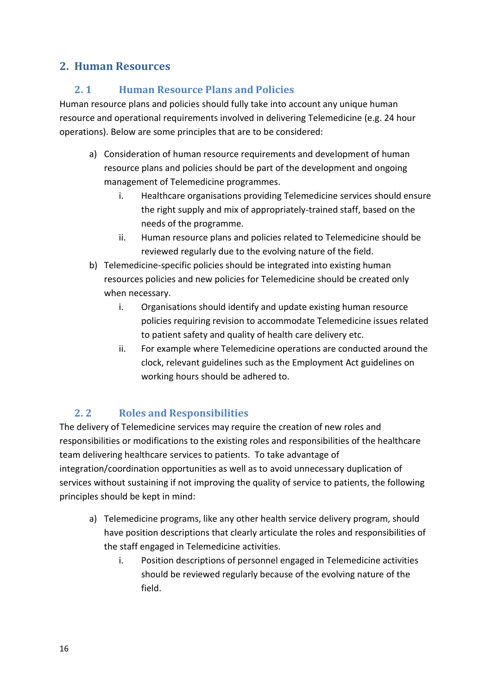# <span id="page-15-1"></span><span id="page-15-0"></span>**2. Human Resources**

## **2. 1 Human Resource Plans and Policies**

Human resource plans and policies should fully take into account any unique human resource and operational requirements involved in delivering Telemedicine (e.g. 24 hour operations). Below are some principles that are to be considered:

- a) Consideration of human resource requirements and development of human resource plans and policies should be part of the development and ongoing management of Telemedicine programmes.
	- i. Healthcare organisations providing Telemedicine services should ensure the right supply and mix of appropriately-trained staff, based on the needs of the programme.
	- ii. Human resource plans and policies related to Telemedicine should be reviewed regularly due to the evolving nature of the field.
- b) Telemedicine-specific policies should be integrated into existing human resources policies and new policies for Telemedicine should be created only when necessary.
	- i. Organisations should identify and update existing human resource policies requiring revision to accommodate Telemedicine issues related to patient safety and quality of health care delivery etc.
	- ii. For example where Telemedicine operations are conducted around the clock, relevant guidelines such as the Employment Act guidelines on working hours should be adhered to.

# **2. 2 Roles and Responsibilities**

<span id="page-15-2"></span>The delivery of Telemedicine services may require the creation of new roles and responsibilities or modifications to the existing roles and responsibilities of the healthcare team delivering healthcare services to patients. To take advantage of integration/coordination opportunities as well as to avoid unnecessary duplication of services without sustaining if not improving the quality of service to patients, the following principles should be kept in mind:

- a) Telemedicine programs, like any other health service delivery program, should have position descriptions that clearly articulate the roles and responsibilities of the staff engaged in Telemedicine activities.
	- i. Position descriptions of personnel engaged in Telemedicine activities should be reviewed regularly because of the evolving nature of the field.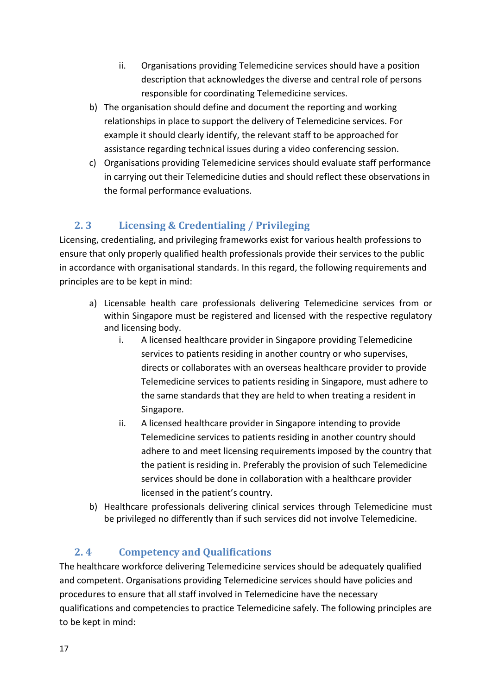- ii. Organisations providing Telemedicine services should have a position description that acknowledges the diverse and central role of persons responsible for coordinating Telemedicine services.
- b) The organisation should define and document the reporting and working relationships in place to support the delivery of Telemedicine services. For example it should clearly identify, the relevant staff to be approached for assistance regarding technical issues during a video conferencing session.
- c) Organisations providing Telemedicine services should evaluate staff performance in carrying out their Telemedicine duties and should reflect these observations in the formal performance evaluations.

# <span id="page-16-0"></span>**2. 3 Licensing & Credentialing / Privileging**

Licensing, credentialing, and privileging frameworks exist for various health professions to ensure that only properly qualified health professionals provide their services to the public in accordance with organisational standards. In this regard, the following requirements and principles are to be kept in mind:

- a) Licensable health care professionals delivering Telemedicine services from or within Singapore must be registered and licensed with the respective regulatory and licensing body.
	- i. A licensed healthcare provider in Singapore providing Telemedicine services to patients residing in another country or who supervises, directs or collaborates with an overseas healthcare provider to provide Telemedicine services to patients residing in Singapore, must adhere to the same standards that they are held to when treating a resident in Singapore.
	- ii. A licensed healthcare provider in Singapore intending to provide Telemedicine services to patients residing in another country should adhere to and meet licensing requirements imposed by the country that the patient is residing in. Preferably the provision of such Telemedicine services should be done in collaboration with a healthcare provider licensed in the patient's country.
- b) Healthcare professionals delivering clinical services through Telemedicine must be privileged no differently than if such services did not involve Telemedicine.

# **2. 4 Competency and Qualifications**

<span id="page-16-1"></span>The healthcare workforce delivering Telemedicine services should be adequately qualified and competent. Organisations providing Telemedicine services should have policies and procedures to ensure that all staff involved in Telemedicine have the necessary qualifications and competencies to practice Telemedicine safely. The following principles are to be kept in mind: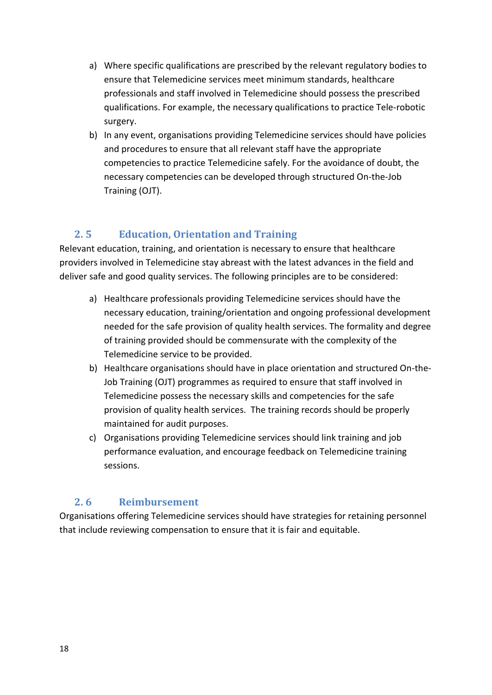- a) Where specific qualifications are prescribed by the relevant regulatory bodies to ensure that Telemedicine services meet minimum standards, healthcare professionals and staff involved in Telemedicine should possess the prescribed qualifications. For example, the necessary qualifications to practice Tele-robotic surgery.
- b) In any event, organisations providing Telemedicine services should have policies and procedures to ensure that all relevant staff have the appropriate competencies to practice Telemedicine safely. For the avoidance of doubt, the necessary competencies can be developed through structured On-the-Job Training (OJT).

# <span id="page-17-0"></span>**2. 5 Education, Orientation and Training**

Relevant education, training, and orientation is necessary to ensure that healthcare providers involved in Telemedicine stay abreast with the latest advances in the field and deliver safe and good quality services. The following principles are to be considered:

- a) Healthcare professionals providing Telemedicine services should have the necessary education, training/orientation and ongoing professional development needed for the safe provision of quality health services. The formality and degree of training provided should be commensurate with the complexity of the Telemedicine service to be provided.
- b) Healthcare organisations should have in place orientation and structured On-the-Job Training (OJT) programmes as required to ensure that staff involved in Telemedicine possess the necessary skills and competencies for the safe provision of quality health services. The training records should be properly maintained for audit purposes.
- c) Organisations providing Telemedicine services should link training and job performance evaluation, and encourage feedback on Telemedicine training sessions.

## **2. 6 Reimbursement**

<span id="page-17-1"></span>Organisations offering Telemedicine services should have strategies for retaining personnel that include reviewing compensation to ensure that it is fair and equitable.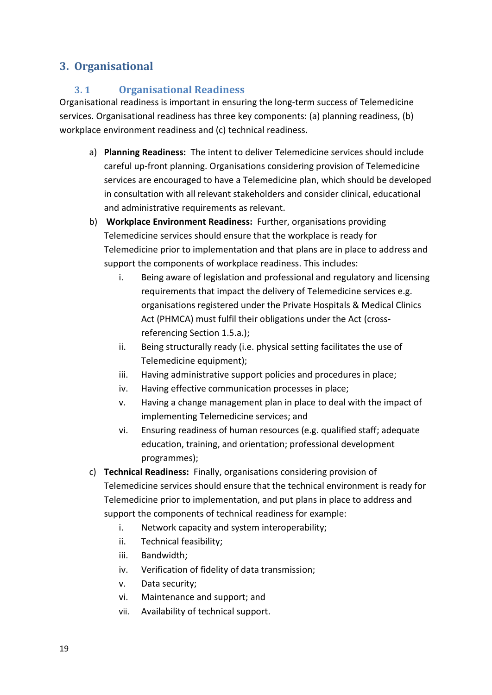# <span id="page-18-1"></span><span id="page-18-0"></span>**3. Organisational**

## **3. 1 Organisational Readiness**

Organisational readiness is important in ensuring the long-term success of Telemedicine services. Organisational readiness has three key components: (a) planning readiness, (b) workplace environment readiness and (c) technical readiness.

- a) **Planning Readiness:** The intent to deliver Telemedicine services should include careful up-front planning. Organisations considering provision of Telemedicine services are encouraged to have a Telemedicine plan, which should be developed in consultation with all relevant stakeholders and consider clinical, educational and administrative requirements as relevant.
- b) **Workplace Environment Readiness:** Further, organisations providing Telemedicine services should ensure that the workplace is ready for Telemedicine prior to implementation and that plans are in place to address and support the components of workplace readiness. This includes:
	- i. Being aware of legislation and professional and regulatory and licensing requirements that impact the delivery of Telemedicine services e.g. organisations registered under the Private Hospitals & Medical Clinics Act (PHMCA) must fulfil their obligations under the Act (crossreferencing Section 1.5.a.);
	- ii. Being structurally ready (i.e. physical setting facilitates the use of Telemedicine equipment);
	- iii. Having administrative support policies and procedures in place;
	- iv. Having effective communication processes in place;
	- v. Having a change management plan in place to deal with the impact of implementing Telemedicine services; and
	- vi. Ensuring readiness of human resources (e.g. qualified staff; adequate education, training, and orientation; professional development programmes);
- c) **Technical Readiness:** Finally, organisations considering provision of Telemedicine services should ensure that the technical environment is ready for Telemedicine prior to implementation, and put plans in place to address and support the components of technical readiness for example:
	- i. Network capacity and system interoperability;
	- ii. Technical feasibility;
	- iii. Bandwidth;
	- iv. Verification of fidelity of data transmission;
	- v. Data security;
	- vi. Maintenance and support; and
	- vii. Availability of technical support.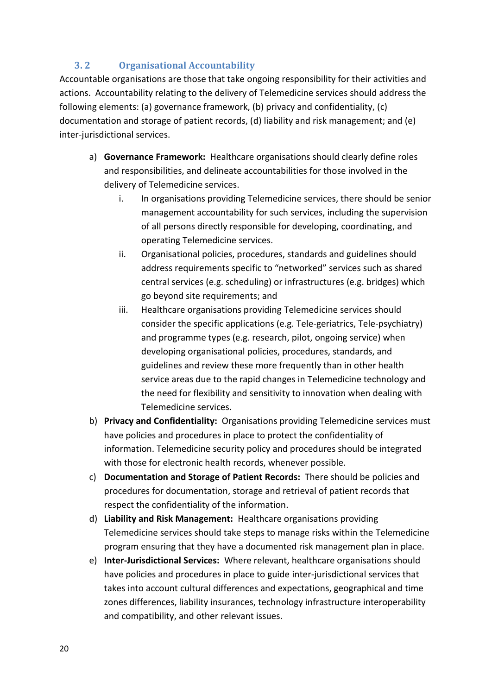## **3. 2 Organisational Accountability**

<span id="page-19-0"></span>Accountable organisations are those that take ongoing responsibility for their activities and actions. Accountability relating to the delivery of Telemedicine services should address the following elements: (a) governance framework, (b) privacy and confidentiality, (c) documentation and storage of patient records, (d) liability and risk management; and (e) inter-jurisdictional services.

- a) **Governance Framework:** Healthcare organisations should clearly define roles and responsibilities, and delineate accountabilities for those involved in the delivery of Telemedicine services.
	- i. In organisations providing Telemedicine services, there should be senior management accountability for such services, including the supervision of all persons directly responsible for developing, coordinating, and operating Telemedicine services.
	- ii. Organisational policies, procedures, standards and guidelines should address requirements specific to "networked" services such as shared central services (e.g. scheduling) or infrastructures (e.g. bridges) which go beyond site requirements; and
	- iii. Healthcare organisations providing Telemedicine services should consider the specific applications (e.g. Tele-geriatrics, Tele-psychiatry) and programme types (e.g. research, pilot, ongoing service) when developing organisational policies, procedures, standards, and guidelines and review these more frequently than in other health service areas due to the rapid changes in Telemedicine technology and the need for flexibility and sensitivity to innovation when dealing with Telemedicine services.
- b) **Privacy and Confidentiality:** Organisations providing Telemedicine services must have policies and procedures in place to protect the confidentiality of information. Telemedicine security policy and procedures should be integrated with those for electronic health records, whenever possible.
- c) **Documentation and Storage of Patient Records:** There should be policies and procedures for documentation, storage and retrieval of patient records that respect the confidentiality of the information.
- d) **Liability and Risk Management:** Healthcare organisations providing Telemedicine services should take steps to manage risks within the Telemedicine program ensuring that they have a documented risk management plan in place.
- e) **Inter-Jurisdictional Services:** Where relevant, healthcare organisations should have policies and procedures in place to guide inter-jurisdictional services that takes into account cultural differences and expectations, geographical and time zones differences, liability insurances, technology infrastructure interoperability and compatibility, and other relevant issues.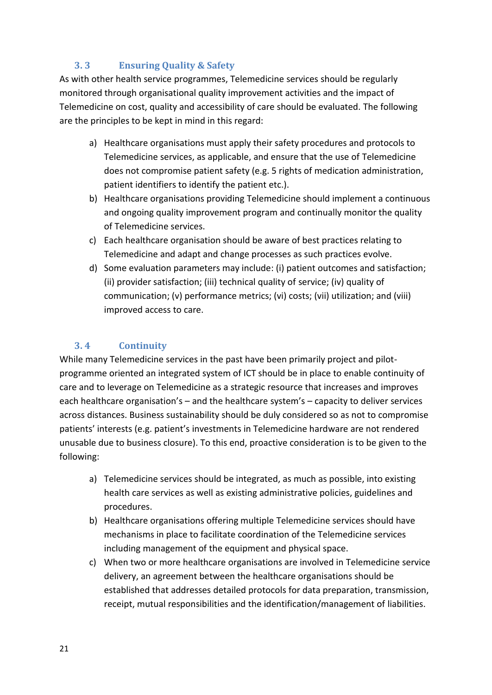## **3. 3 Ensuring Quality & Safety**

<span id="page-20-0"></span>As with other health service programmes, Telemedicine services should be regularly monitored through organisational quality improvement activities and the impact of Telemedicine on cost, quality and accessibility of care should be evaluated. The following are the principles to be kept in mind in this regard:

- a) Healthcare organisations must apply their safety procedures and protocols to Telemedicine services, as applicable, and ensure that the use of Telemedicine does not compromise patient safety (e.g. 5 rights of medication administration, patient identifiers to identify the patient etc.).
- b) Healthcare organisations providing Telemedicine should implement a continuous and ongoing quality improvement program and continually monitor the quality of Telemedicine services.
- c) Each healthcare organisation should be aware of best practices relating to Telemedicine and adapt and change processes as such practices evolve.
- d) Some evaluation parameters may include: (i) patient outcomes and satisfaction; (ii) provider satisfaction; (iii) technical quality of service; (iv) quality of communication; (v) performance metrics; (vi) costs; (vii) utilization; and (viii) improved access to care.

## <span id="page-20-1"></span>**3. 4 Continuity**

While many Telemedicine services in the past have been primarily project and pilotprogramme oriented an integrated system of ICT should be in place to enable continuity of care and to leverage on Telemedicine as a strategic resource that increases and improves each healthcare organisation's – and the healthcare system's – capacity to deliver services across distances. Business sustainability should be duly considered so as not to compromise patients' interests (e.g. patient's investments in Telemedicine hardware are not rendered unusable due to business closure). To this end, proactive consideration is to be given to the following:

- a) Telemedicine services should be integrated, as much as possible, into existing health care services as well as existing administrative policies, guidelines and procedures.
- b) Healthcare organisations offering multiple Telemedicine services should have mechanisms in place to facilitate coordination of the Telemedicine services including management of the equipment and physical space.
- c) When two or more healthcare organisations are involved in Telemedicine service delivery, an agreement between the healthcare organisations should be established that addresses detailed protocols for data preparation, transmission, receipt, mutual responsibilities and the identification/management of liabilities.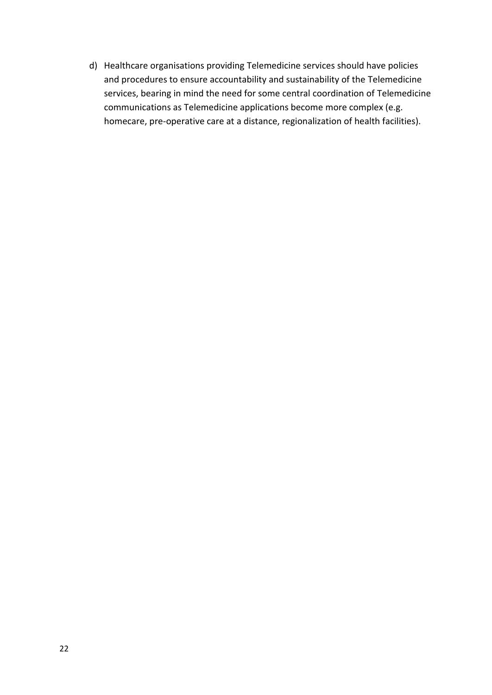d) Healthcare organisations providing Telemedicine services should have policies and procedures to ensure accountability and sustainability of the Telemedicine services, bearing in mind the need for some central coordination of Telemedicine communications as Telemedicine applications become more complex (e.g. homecare, pre-operative care at a distance, regionalization of health facilities).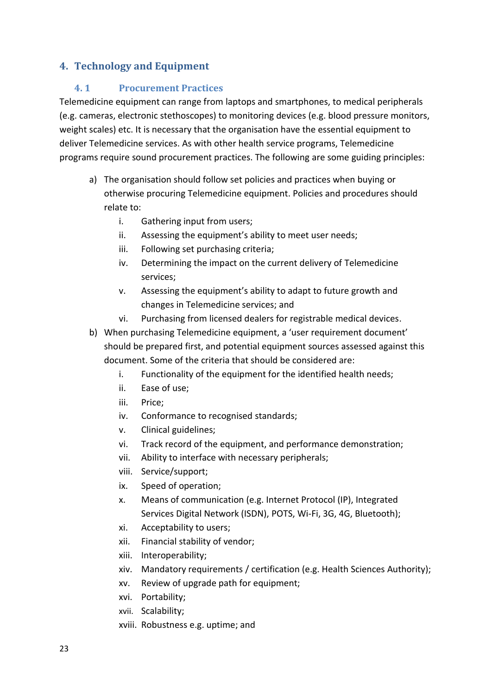## <span id="page-22-1"></span><span id="page-22-0"></span>**4. Technology and Equipment**

#### **4. 1 Procurement Practices**

Telemedicine equipment can range from laptops and smartphones, to medical peripherals (e.g. cameras, electronic stethoscopes) to monitoring devices (e.g. blood pressure monitors, weight scales) etc. It is necessary that the organisation have the essential equipment to deliver Telemedicine services. As with other health service programs, Telemedicine programs require sound procurement practices. The following are some guiding principles:

- a) The organisation should follow set policies and practices when buying or otherwise procuring Telemedicine equipment. Policies and procedures should relate to:
	- i. Gathering input from users;
	- ii. Assessing the equipment's ability to meet user needs;
	- iii. Following set purchasing criteria;
	- iv. Determining the impact on the current delivery of Telemedicine services;
	- v. Assessing the equipment's ability to adapt to future growth and changes in Telemedicine services; and
	- vi. Purchasing from licensed dealers for registrable medical devices.
- b) When purchasing Telemedicine equipment, a 'user requirement document' should be prepared first, and potential equipment sources assessed against this document. Some of the criteria that should be considered are:
	- i. Functionality of the equipment for the identified health needs;
	- ii. Ease of use;
	- iii. Price;
	- iv. Conformance to recognised standards;
	- v. Clinical guidelines;
	- vi. Track record of the equipment, and performance demonstration;
	- vii. Ability to interface with necessary peripherals;
	- viii. Service/support;
	- ix. Speed of operation;
	- x. Means of communication (e.g. Internet Protocol (IP), Integrated Services Digital Network (ISDN), POTS, Wi-Fi, 3G, 4G, Bluetooth);
	- xi. Acceptability to users;
	- xii. Financial stability of vendor;
	- xiii. Interoperability;
	- xiv. Mandatory requirements / certification (e.g. Health Sciences Authority);
	- xv. Review of upgrade path for equipment;
	- xvi. Portability;
	- xvii. Scalability;
	- xviii. Robustness e.g. uptime; and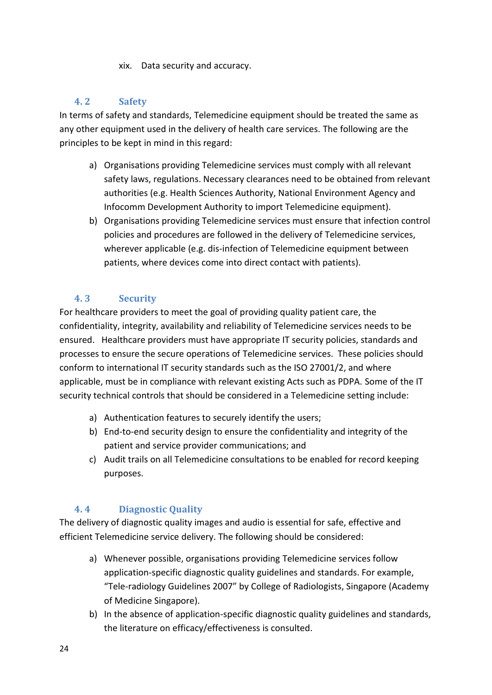xix. Data security and accuracy.

## <span id="page-23-0"></span>**4. 2 Safety**

In terms of safety and standards, Telemedicine equipment should be treated the same as any other equipment used in the delivery of health care services. The following are the principles to be kept in mind in this regard:

- a) Organisations providing Telemedicine services must comply with all relevant safety laws, regulations. Necessary clearances need to be obtained from relevant authorities (e.g. Health Sciences Authority, National Environment Agency and Infocomm Development Authority to import Telemedicine equipment).
- b) Organisations providing Telemedicine services must ensure that infection control policies and procedures are followed in the delivery of Telemedicine services, wherever applicable (e.g. dis-infection of Telemedicine equipment between patients, where devices come into direct contact with patients).

## **4. 3 Security**

<span id="page-23-1"></span>For healthcare providers to meet the goal of providing quality patient care, the confidentiality, integrity, availability and reliability of Telemedicine services needs to be ensured. Healthcare providers must have appropriate IT security policies, standards and processes to ensure the secure operations of Telemedicine services. These policies should conform to international IT security standards such as the ISO 27001/2, and where applicable, must be in compliance with relevant existing Acts such as PDPA. Some of the IT security technical controls that should be considered in a Telemedicine setting include:

- a) Authentication features to securely identify the users;
- b) End-to-end security design to ensure the confidentiality and integrity of the patient and service provider communications; and
- c) Audit trails on all Telemedicine consultations to be enabled for record keeping purposes.

## **4. 4 Diagnostic Quality**

<span id="page-23-2"></span>The delivery of diagnostic quality images and audio is essential for safe, effective and efficient Telemedicine service delivery. The following should be considered:

- a) Whenever possible, organisations providing Telemedicine services follow application-specific diagnostic quality guidelines and standards. For example, "Tele-radiology Guidelines 2007" by College of Radiologists, Singapore (Academy of Medicine Singapore).
- b) In the absence of application-specific diagnostic quality guidelines and standards, the literature on efficacy/effectiveness is consulted.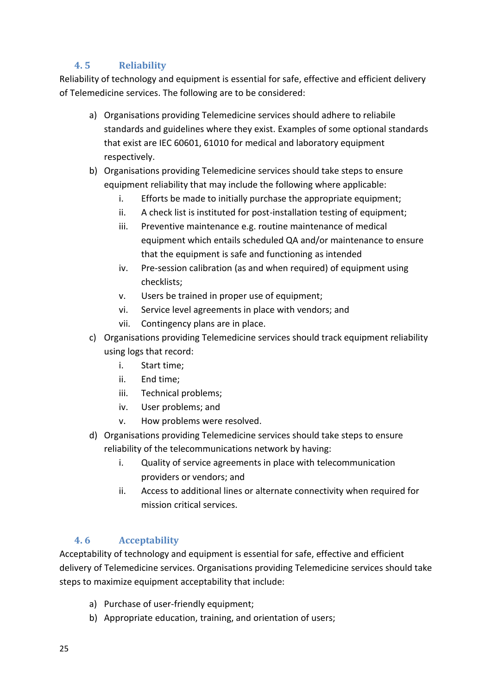## **4. 5 Reliability**

<span id="page-24-0"></span>Reliability of technology and equipment is essential for safe, effective and efficient delivery of Telemedicine services. The following are to be considered:

- a) Organisations providing Telemedicine services should adhere to reliabile standards and guidelines where they exist. Examples of some optional standards that exist are IEC 60601, 61010 for medical and laboratory equipment respectively.
- b) Organisations providing Telemedicine services should take steps to ensure equipment reliability that may include the following where applicable:
	- i. Efforts be made to initially purchase the appropriate equipment;
	- ii. A check list is instituted for post-installation testing of equipment;
	- iii. Preventive maintenance e.g. routine maintenance of medical equipment which entails scheduled QA and/or maintenance to ensure that the equipment is safe and functioning as intended
	- iv. Pre-session calibration (as and when required) of equipment using checklists;
	- v. Users be trained in proper use of equipment;
	- vi. Service level agreements in place with vendors; and
	- vii. Contingency plans are in place.
- c) Organisations providing Telemedicine services should track equipment reliability using logs that record:
	- i. Start time;
	- ii. End time;
	- iii. Technical problems;
	- iv. User problems; and
	- v. How problems were resolved.
- d) Organisations providing Telemedicine services should take steps to ensure reliability of the telecommunications network by having:
	- i. Quality of service agreements in place with telecommunication providers or vendors; and
	- ii. Access to additional lines or alternate connectivity when required for mission critical services.

## **4. 6 Acceptability**

<span id="page-24-1"></span>Acceptability of technology and equipment is essential for safe, effective and efficient delivery of Telemedicine services. Organisations providing Telemedicine services should take steps to maximize equipment acceptability that include:

- a) Purchase of user-friendly equipment;
- b) Appropriate education, training, and orientation of users;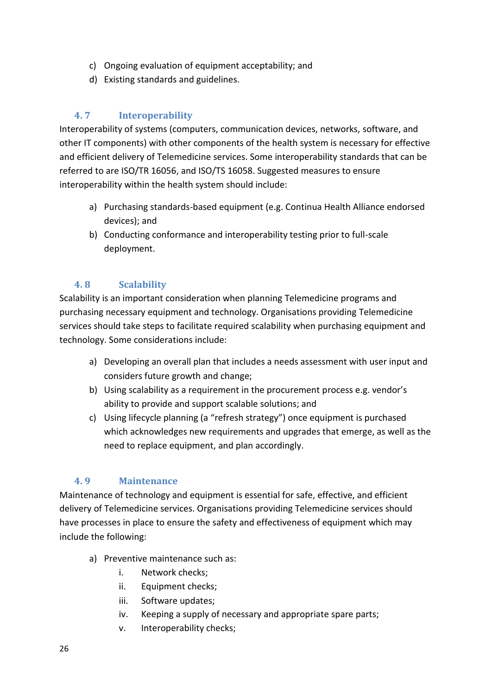- c) Ongoing evaluation of equipment acceptability; and
- d) Existing standards and guidelines.

## **4. 7 Interoperability**

<span id="page-25-0"></span>Interoperability of systems (computers, communication devices, networks, software, and other IT components) with other components of the health system is necessary for effective and efficient delivery of Telemedicine services. Some interoperability standards that can be referred to are ISO/TR 16056, and ISO/TS 16058. Suggested measures to ensure interoperability within the health system should include:

- a) Purchasing standards-based equipment (e.g. Continua Health Alliance endorsed devices); and
- b) Conducting conformance and interoperability testing prior to full-scale deployment.

## **4. 8 Scalability**

<span id="page-25-1"></span>Scalability is an important consideration when planning Telemedicine programs and purchasing necessary equipment and technology. Organisations providing Telemedicine services should take steps to facilitate required scalability when purchasing equipment and technology. Some considerations include:

- a) Developing an overall plan that includes a needs assessment with user input and considers future growth and change;
- b) Using scalability as a requirement in the procurement process e.g. vendor's ability to provide and support scalable solutions; and
- c) Using lifecycle planning (a "refresh strategy") once equipment is purchased which acknowledges new requirements and upgrades that emerge, as well as the need to replace equipment, and plan accordingly.

## <span id="page-25-2"></span>**4. 9 Maintenance**

Maintenance of technology and equipment is essential for safe, effective, and efficient delivery of Telemedicine services. Organisations providing Telemedicine services should have processes in place to ensure the safety and effectiveness of equipment which may include the following:

- a) Preventive maintenance such as:
	- i. Network checks;
	- ii. Equipment checks;
	- iii. Software updates;
	- iv. Keeping a supply of necessary and appropriate spare parts;
	- v. Interoperability checks;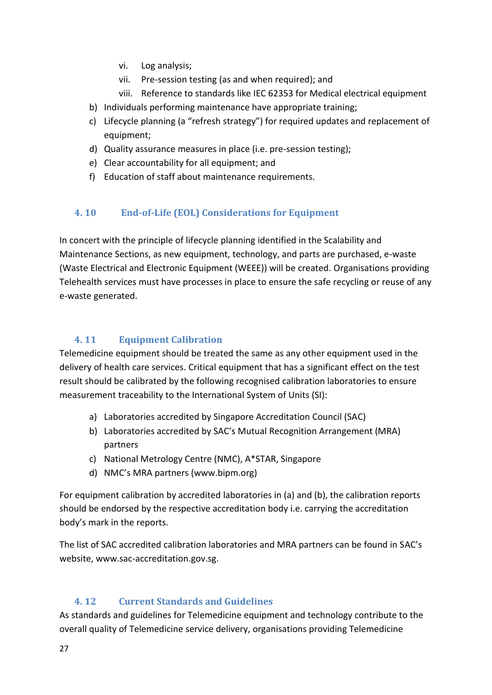- vi. Log analysis;
- vii. Pre-session testing (as and when required); and
- viii. Reference to standards like IEC 62353 for Medical electrical equipment
- b) Individuals performing maintenance have appropriate training;
- c) Lifecycle planning (a "refresh strategy") for required updates and replacement of equipment;
- d) Quality assurance measures in place (i.e. pre-session testing);
- e) Clear accountability for all equipment; and
- f) Education of staff about maintenance requirements.

## <span id="page-26-0"></span>**4. 10 End-of-Life (EOL) Considerations for Equipment**

In concert with the principle of lifecycle planning identified in the Scalability and Maintenance Sections, as new equipment, technology, and parts are purchased, e-waste (Waste Electrical and Electronic Equipment (WEEE)) will be created. Organisations providing Telehealth services must have processes in place to ensure the safe recycling or reuse of any e-waste generated.

## <span id="page-26-1"></span>**4. 11 Equipment Calibration**

Telemedicine equipment should be treated the same as any other equipment used in the delivery of health care services. Critical equipment that has a significant effect on the test result should be calibrated by the following recognised calibration laboratories to ensure measurement traceability to the International System of Units (SI):

- a) Laboratories accredited by Singapore Accreditation Council (SAC)
- b) Laboratories accredited by SAC's Mutual Recognition Arrangement (MRA) partners
- c) National Metrology Centre (NMC), A\*STAR, Singapore
- d) NMC's MRA partners (www.bipm.org)

For equipment calibration by accredited laboratories in (a) and (b), the calibration reports should be endorsed by the respective accreditation body i.e. carrying the accreditation body's mark in the reports.

The list of SAC accredited calibration laboratories and MRA partners can be found in SAC's website, www.sac-accreditation.gov.sg.

## **4. 12 Current Standards and Guidelines**

<span id="page-26-2"></span>As standards and guidelines for Telemedicine equipment and technology contribute to the overall quality of Telemedicine service delivery, organisations providing Telemedicine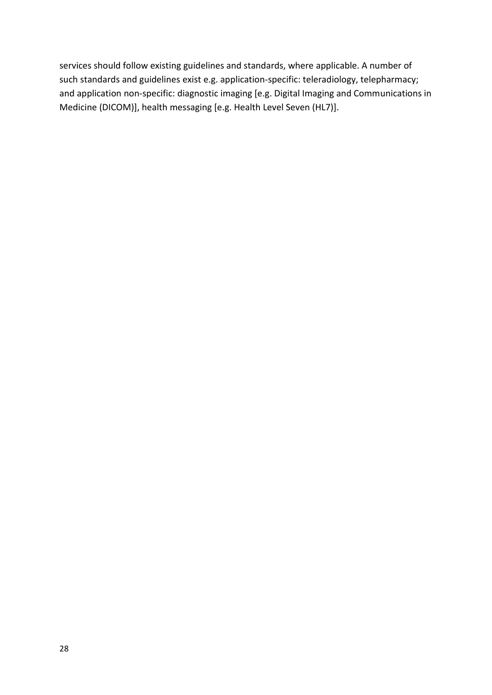services should follow existing guidelines and standards, where applicable. A number of such standards and guidelines exist e.g. application-specific: teleradiology, telepharmacy; and application non-specific: diagnostic imaging [e.g. Digital Imaging and Communications in Medicine (DICOM)], health messaging [e.g. Health Level Seven (HL7)].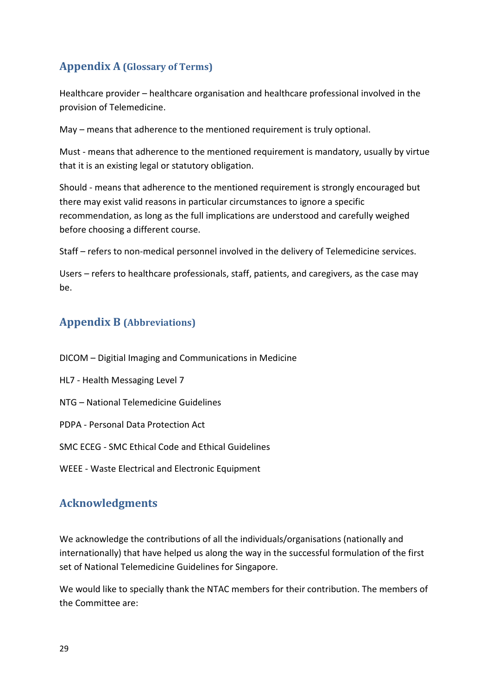# <span id="page-28-0"></span>**Appendix A (Glossary of Terms)**

Healthcare provider – healthcare organisation and healthcare professional involved in the provision of Telemedicine.

May – means that adherence to the mentioned requirement is truly optional.

Must - means that adherence to the mentioned requirement is mandatory, usually by virtue that it is an existing legal or statutory obligation.

Should - means that adherence to the mentioned requirement is strongly encouraged but there may exist valid reasons in particular circumstances to ignore a specific recommendation, as long as the full implications are understood and carefully weighed before choosing a different course.

Staff – refers to non-medical personnel involved in the delivery of Telemedicine services.

Users – refers to healthcare professionals, staff, patients, and caregivers, as the case may be.

# <span id="page-28-1"></span>**Appendix B (Abbreviations)**

- DICOM Digitial Imaging and Communications in Medicine
- HL7 Health Messaging Level 7
- NTG National Telemedicine Guidelines
- PDPA Personal Data Protection Act
- SMC ECEG SMC Ethical Code and Ethical Guidelines
- WEEE Waste Electrical and Electronic Equipment

# <span id="page-28-2"></span>**Acknowledgments**

We acknowledge the contributions of all the individuals/organisations (nationally and internationally) that have helped us along the way in the successful formulation of the first set of National Telemedicine Guidelines for Singapore.

We would like to specially thank the NTAC members for their contribution. The members of the Committee are: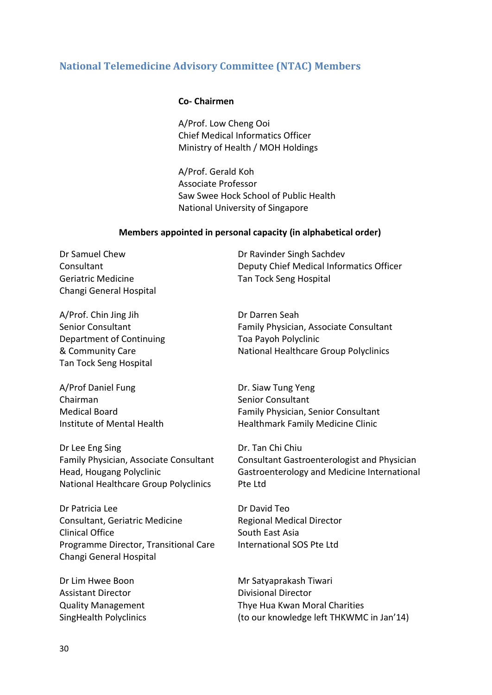## <span id="page-29-0"></span>**National Telemedicine Advisory Committee (NTAC) Members**

#### **Co- Chairmen**

A/Prof. Low Cheng Ooi Chief Medical Informatics Officer Ministry of Health / MOH Holdings

A/Prof. Gerald Koh Associate Professor Saw Swee Hock School of Public Health National University of Singapore

#### **Members appointed in personal capacity (in alphabetical order)**

Geriatric Medicine Tan Tock Seng Hospital Changi General Hospital

Dr Samuel Chew Dr Ravinder Singh Sachdev Consultant Deputy Chief Medical Informatics Officer

A/Prof. Chin Jing Jih Dr Darren Seah Department of Continuing Toa Payoh Polyclinic Tan Tock Seng Hospital

A/Prof Daniel Fung Dr. Siaw Tung Yeng Chairman Senior Consultant

Dr Lee Eng Sing **Dr. Tan Chi Chiu** National Healthcare Group Polyclinics Pte Ltd

Dr Patricia Lee Dr David Teo Consultant, Geriatric Medicine Regional Medical Director Clinical Office South East Asia Programme Director, Transitional Care International SOS Pte Ltd Changi General Hospital

Assistant Director **Divisional Director** 

Senior Consultant Family Physician, Associate Consultant & Community Care National Healthcare Group Polyclinics

Medical Board Family Physician, Senior Consultant Institute of Mental Health Health Healthmark Family Medicine Clinic

Family Physician, Associate Consultant Consultant Gastroenterologist and Physician Head, Hougang Polyclinic Gastroenterology and Medicine International

Dr Lim Hwee Boon Mr Satyaprakash Tiwari Quality Management Thye Hua Kwan Moral Charities SingHealth Polyclinics (to our knowledge left THKWMC in Jan'14)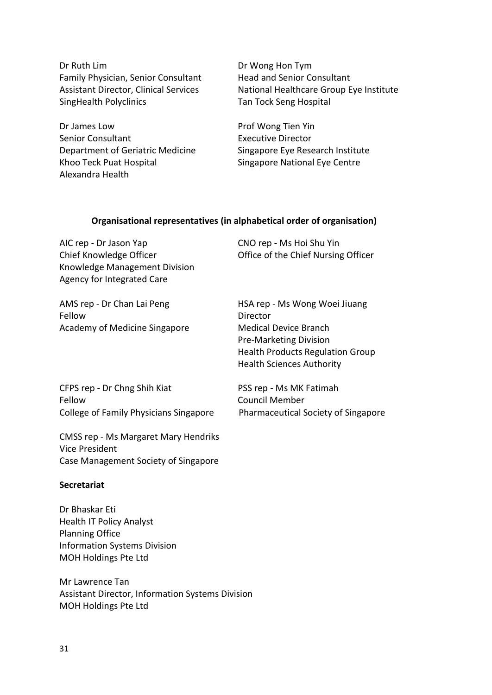Dr Ruth Lim Dr Wong Hon Tym Family Physician, Senior Consultant Head and Senior Consultant SingHealth Polyclinics Tan Tock Seng Hospital

Dr James Low **Prof Wong Tien Yin** Senior Consultant **Executive Director** Department of Geriatric Medicine Singapore Eye Research Institute Khoo Teck Puat Hospital Singapore National Eye Centre Alexandra Health

Assistant Director, Clinical Services National Healthcare Group Eye Institute

#### **Organisational representatives (in alphabetical order of organisation)**

AIC rep - Dr Jason Yap CNO rep - Ms Hoi Shu Yin Chief Knowledge Officer **Chief Chief Chief Nursing Officer** Office of the Chief Nursing Officer Knowledge Management Division Agency for Integrated Care

AMS rep - Dr Chan Lai Peng HSA rep - Ms Wong Woei Jiuang Fellow Director Academy of Medicine Singapore Medical Device Branch

Pre-Marketing Division Health Products Regulation Group Health Sciences Authority

CFPS rep - Dr Chng Shih Kiat PSS rep - Ms MK Fatimah Fellow Council Member College of Family Physicians Singapore Pharmaceutical Society of Singapore

CMSS rep - Ms Margaret Mary Hendriks Vice President Case Management Society of Singapore

#### **Secretariat**

Dr Bhaskar Eti Health IT Policy Analyst Planning Office Information Systems Division MOH Holdings Pte Ltd

Mr Lawrence Tan Assistant Director, Information Systems Division MOH Holdings Pte Ltd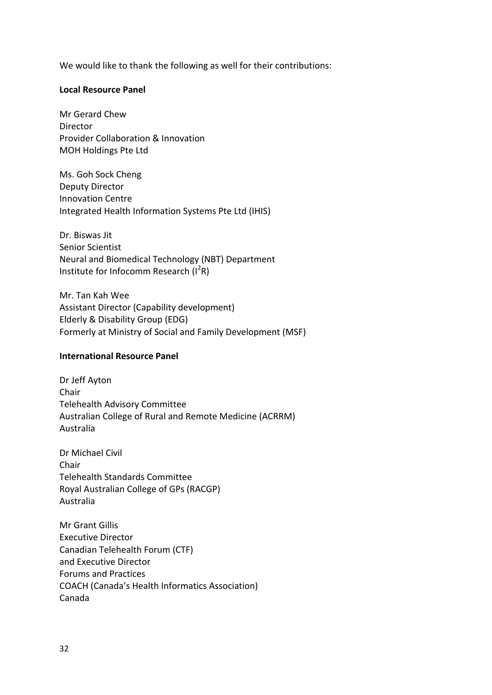We would like to thank the following as well for their contributions:

#### **Local Resource Panel**

Mr Gerard Chew Director Provider Collaboration & Innovation MOH Holdings Pte Ltd

Ms. Goh Sock Cheng Deputy Director Innovation Centre Integrated Health Information Systems Pte Ltd (IHIS)

Dr. Biswas Jit Senior Scientist Neural and Biomedical Technology (NBT) Department Institute for Infocomm Research (I<sup>2</sup>R)

Mr. Tan Kah Wee Assistant Director (Capability development) Elderly & Disability Group (EDG) Formerly at Ministry of Social and Family Development (MSF)

#### **International Resource Panel**

Dr Jeff Ayton Chair Telehealth Advisory Committee Australian College of Rural and Remote Medicine (ACRRM) Australia

Dr Michael Civil Chair Telehealth Standards Committee Royal Australian College of GPs (RACGP) Australia

Mr Grant Gillis Executive Director Canadian Telehealth Forum (CTF) and Executive Director Forums and Practices COACH (Canada's Health Informatics Association) Canada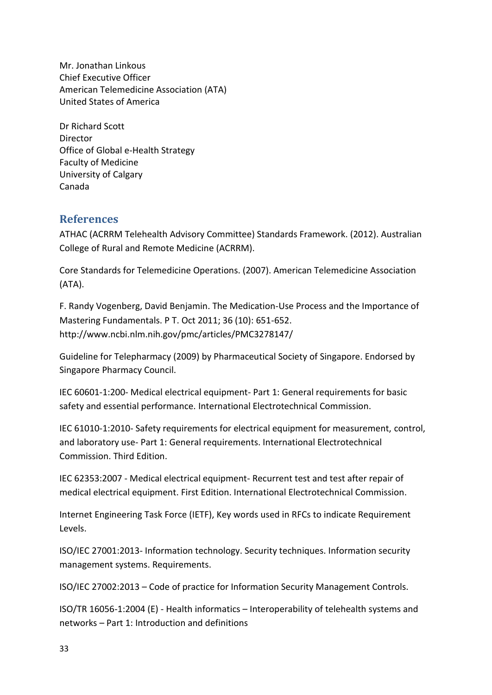Mr. Jonathan Linkous Chief Executive Officer American Telemedicine Association (ATA) United States of America

Dr Richard Scott Director Office of Global e-Health Strategy Faculty of Medicine University of Calgary Canada

#### <span id="page-32-0"></span>**References**

ATHAC (ACRRM Telehealth Advisory Committee) Standards Framework. (2012). Australian College of Rural and Remote Medicine (ACRRM).

Core Standards for Telemedicine Operations. (2007). American Telemedicine Association (ATA).

F. Randy Vogenberg, David Benjamin. The Medication-Use Process and the Importance of Mastering Fundamentals. P T. Oct 2011; 36 (10): 651-652. http://www.ncbi.nlm.nih.gov/pmc/articles/PMC3278147/

Guideline for Telepharmacy (2009) by Pharmaceutical Society of Singapore. Endorsed by Singapore Pharmacy Council.

IEC 60601-1:200- Medical electrical equipment- Part 1: General requirements for basic safety and essential performance. International Electrotechnical Commission.

IEC 61010-1:2010- Safety requirements for electrical equipment for measurement, control, and laboratory use- Part 1: General requirements. International Electrotechnical Commission. Third Edition.

IEC 62353:2007 - Medical electrical equipment- Recurrent test and test after repair of medical electrical equipment. First Edition. International Electrotechnical Commission.

Internet Engineering Task Force (IETF), Key words used in RFCs to indicate Requirement Levels.

ISO/IEC 27001:2013- Information technology. Security techniques. Information security management systems. Requirements.

ISO/IEC 27002:2013 – Code of practice for Information Security Management Controls.

ISO/TR 16056-1:2004 (E) - Health informatics – Interoperability of telehealth systems and networks – Part 1: Introduction and definitions